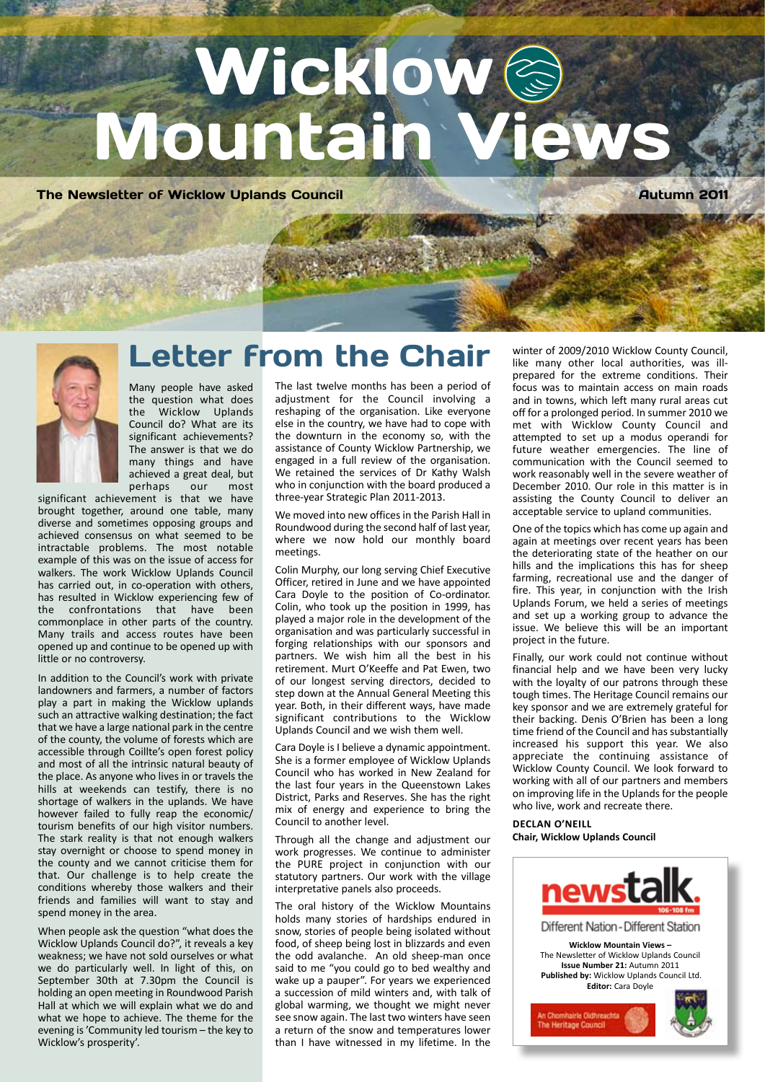# **Wicklow** Mountain Views

The Newsletter of Wicklow Uplands Council **Autumn 2011** Autumn 2011



### Letter from the Chair

Many people have asked the question what does<br>the Wicklow Unlands Wicklow Uplands Council do? What are its significant achievements? The answer is that we do many things and have achieved a great deal, but perhaps our most

significant achievement is that we have brought together, around one table, many diverse and sometimes opposing groups and achieved consensus on what seemed to be intractable problems. The most notable example of this was on the issue of access for walkers. The work Wicklow Uplands Council has carried out, in co-operation with others, has resulted in Wicklow experiencing few of the confrontations that have been commonplace in other parts of the country. Many trails and access routes have been opened up and continue to be opened up with little or no controversy.

In addition to the Council's work with private landowners and farmers, a number of factors play a part in making the Wicklow uplands such an attractive walking destination; the fact that we have a large national park in the centre of the county, the volume of forests which are accessible through Coillte's open forest policy and most of all the intrinsic natural beauty of the place. As anyone who lives in or travels the hills at weekends can testify, there is no shortage of walkers in the uplands. We have however failed to fully reap the economic/ tourism benefits of our high visitor numbers. The stark reality is that not enough walkers stay overnight or choose to spend money in the county and we cannot criticise them for that. Our challenge is to help create the conditions whereby those walkers and their friends and families will want to stay and spend money in the area.

When people ask the question "what does the Wicklow Uplands Council do?", it reveals a key weakness; we have not sold ourselves or what we do particularly well. In light of this, on September 30th at 7.30pm the Council is holding an open meeting in Roundwood Parish Hall at which we will explain what we do and what we hope to achieve. The theme for the evening is 'Community led tourism – the key to Wicklow's prosperity'.

The last twelve months has been a period of adjustment for the Council involving a reshaping of the organisation. Like everyone else in the country, we have had to cope with the downturn in the economy so, with the assistance of County Wicklow Partnership, we engaged in a full review of the organisation. We retained the services of Dr Kathy Walsh who in conjunction with the board produced a three-year Strategic Plan 2011-2013.

We moved into new offices in the Parish Hall in Roundwood during the second half of last year, where we now hold our monthly board meetings.

Colin Murphy, our long serving Chief Executive Officer, retired in June and we have appointed Cara Doyle to the position of Co-ordinator. Colin, who took up the position in 1999, has played a major role in the development of the organisation and was particularly successful in forging relationships with our sponsors and partners. We wish him all the best in his retirement. Murt O'Keeffe and Pat Ewen, two of our longest serving directors, decided to step down at the Annual General Meeting this year. Both, in their different ways, have made significant contributions to the Wicklow Uplands Council and we wish them well.

Cara Doyle is I believe a dynamic appointment. She is a former employee of Wicklow Uplands Council who has worked in New Zealand for the last four years in the Queenstown Lakes District, Parks and Reserves. She has the right mix of energy and experience to bring the Council to another level.

Through all the change and adjustment our work progresses. We continue to administer the PURE project in conjunction with our statutory partners. Our work with the village interpretative panels also proceeds.

The oral history of the Wicklow Mountains holds many stories of hardships endured in snow, stories of people being isolated without food, of sheep being lost in blizzards and even the odd avalanche. An old sheep-man once said to me "you could go to bed wealthy and wake up a pauper". For years we experienced a succession of mild winters and, with talk of global warming, we thought we might never see snow again. The last two winters have seen a return of the snow and temperatures lower than I have witnessed in my lifetime. In the

winter of 2009/2010 Wicklow County Council, like many other local authorities, was illprepared for the extreme conditions. Their focus was to maintain access on main roads and in towns, which left many rural areas cut off for a prolonged period. In summer 2010 we met with Wicklow County Council and attempted to set up a modus operandi for future weather emergencies. The line of communication with the Council seemed to work reasonably well in the severe weather of December 2010. Our role in this matter is in assisting the County Council to deliver an acceptable service to upland communities.

One of the topics which has come up again and again at meetings over recent years has been the deteriorating state of the heather on our hills and the implications this has for sheep farming, recreational use and the danger of fire. This year, in conjunction with the Irish Uplands Forum, we held a series of meetings and set up a working group to advance the issue. We believe this will be an important project in the future.

Finally, our work could not continue without financial help and we have been very lucky with the loyalty of our patrons through these tough times. The Heritage Council remains our key sponsor and we are extremely grateful for their backing. Denis O'Brien has been a long time friend of the Council and has substantially increased his support this year. We also appreciate the continuing assistance of Wicklow County Council. We look forward to working with all of our partners and members on improving life in the Uplands for the people who live, work and recreate there.

**Declan O'Neill Chair, Wicklow Uplands Council**



**Wicklow Mountain Views –** The Newsletter of Wicklow Uplands Council **Issue Number 21:** Autumn 2011 **Published by:** Wicklow Uplands Council Ltd. **Editor:** Cara Doyle

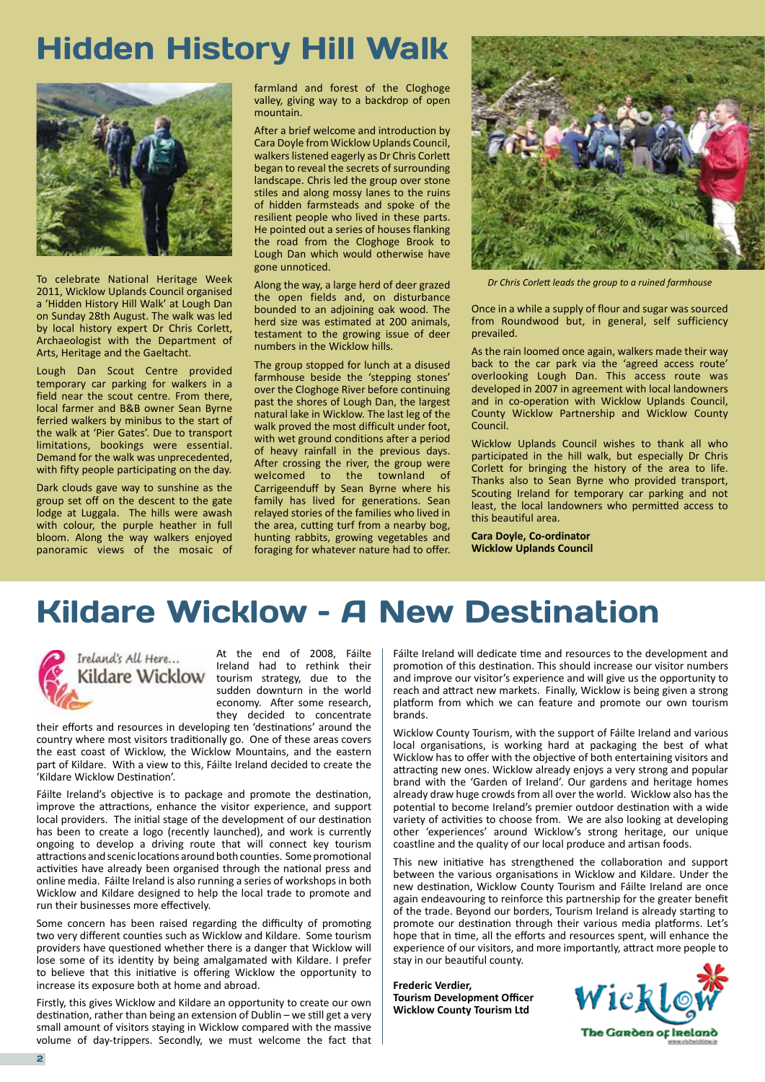# Hidden History Hill Walk



To celebrate National Heritage Week 2011, Wicklow Uplands Council organised a 'Hidden History Hill Walk' at Lough Dan on Sunday 28th August. The walk was led by local history expert Dr Chris Corlett, Archaeologist with the Department of Arts, Heritage and the Gaeltacht.

Lough Dan Scout Centre provided temporary car parking for walkers in a field near the scout centre. From there, local farmer and B&B owner Sean Byrne ferried walkers by minibus to the start of the walk at 'Pier Gates'. Due to transport limitations, bookings were essential. Demand for the walk was unprecedented, with fifty people participating on the day.

Dark clouds gave way to sunshine as the group set off on the descent to the gate lodge at Luggala. The hills were awash with colour, the purple heather in full bloom. Along the way walkers enjoyed panoramic views of the mosaic of farmland and forest of the Cloghoge valley, giving way to a backdrop of open mountain.

After a brief welcome and introduction by Cara Doyle from Wicklow Uplands Council, walkers listened eagerly as Dr Chris Corlett began to reveal the secrets of surrounding landscape. Chris led the group over stone stiles and along mossy lanes to the ruins of hidden farmsteads and spoke of the resilient people who lived in these parts. He pointed out a series of houses flanking the road from the Cloghoge Brook to Lough Dan which would otherwise have gone unnoticed.

Along the way, a large herd of deer grazed the open fields and, on disturbance bounded to an adjoining oak wood. The herd size was estimated at 200 animals, testament to the growing issue of deer numbers in the Wicklow hills.

The group stopped for lunch at a disused farmhouse beside the 'stepping stones' over the Cloghoge River before continuing past the shores of Lough Dan, the largest natural lake in Wicklow. The last leg of the walk proved the most difficult under foot, with wet ground conditions after a period of heavy rainfall in the previous days. After crossing the river, the group were welcomed to the townland of Carrigeenduff by Sean Byrne where his family has lived for generations. Sean relayed stories of the families who lived in the area, cutting turf from a nearby bog, hunting rabbits, growing vegetables and foraging for whatever nature had to offer.



*Dr Chris Corlett leads the group to a ruined farmhouse*

Once in a while a supply of flour and sugar was sourced from Roundwood but, in general, self sufficiency prevailed.

As the rain loomed once again, walkers made their way back to the car park via the 'agreed access route' overlooking Lough Dan. This access route was developed in 2007 in agreement with local landowners and in co-operation with Wicklow Uplands Council, County Wicklow Partnership and Wicklow County Council.

Wicklow Uplands Council wishes to thank all who participated in the hill walk, but especially Dr Chris Corlett for bringing the history of the area to life. Thanks also to Sean Byrne who provided transport, Scouting Ireland for temporary car parking and not least, the local landowners who permitted access to this beautiful area.

**Cara Doyle, Co-ordinator Wicklow Uplands Council**

## Kildare Wicklow – A New Destination



At the end of 2008, Fáilte Ireland had to rethink their Kildare Wicklow Irelated that we recomme their sudden downturn in the world economy. After some research, they decided to concentrate

their efforts and resources in developing ten 'destinations' around the country where most visitors traditionally go. One of these areas covers the east coast of Wicklow, the Wicklow Mountains, and the eastern part of Kildare. With a view to this, Fáilte Ireland decided to create the 'Kildare Wicklow Destination'.

Fáilte Ireland's objective is to package and promote the destination, improve the attractions, enhance the visitor experience, and support local providers. The initial stage of the development of our destination has been to create a logo (recently launched), and work is currently ongoing to develop a driving route that will connect key tourism attractions and scenic locations around both counties. Some promotional activities have already been organised through the national press and online media. Fáilte Ireland is also running a series of workshops in both Wicklow and Kildare designed to help the local trade to promote and run their businesses more effectively.

Some concern has been raised regarding the difficulty of promoting two very different counties such as Wicklow and Kildare. Some tourism providers have questioned whether there is a danger that Wicklow will lose some of its identity by being amalgamated with Kildare. I prefer to believe that this initiative is offering Wicklow the opportunity to increase its exposure both at home and abroad.

Firstly, this gives Wicklow and Kildare an opportunity to create our own destination, rather than being an extension of Dublin – we still get a very small amount of visitors staying in Wicklow compared with the massive volume of day-trippers. Secondly, we must welcome the fact that Fáilte Ireland will dedicate time and resources to the development and promotion of this destination. This should increase our visitor numbers and improve our visitor's experience and will give us the opportunity to reach and attract new markets. Finally, Wicklow is being given a strong platform from which we can feature and promote our own tourism **brands** 

Wicklow County Tourism, with the support of Fáilte Ireland and various local organisations, is working hard at packaging the best of what Wicklow has to offer with the objective of both entertaining visitors and attracting new ones. Wicklow already enjoys a very strong and popular brand with the 'Garden of Ireland'. Our gardens and heritage homes already draw huge crowds from all over the world. Wicklow also has the potential to become Ireland's premier outdoor destination with a wide variety of activities to choose from. We are also looking at developing other 'experiences' around Wicklow's strong heritage, our unique coastline and the quality of our local produce and artisan foods.

This new initiative has strengthened the collaboration and support between the various organisations in Wicklow and Kildare. Under the new destination, Wicklow County Tourism and Fáilte Ireland are once again endeavouring to reinforce this partnership for the greater benefit of the trade. Beyond our borders, Tourism Ireland is already starting to promote our destination through their various media platforms. Let's hope that in time, all the efforts and resources spent, will enhance the experience of our visitors, and more importantly, attract more people to stay in our beautiful county.

**Frederic Verdier, Tourism Development Officer Wicklow County Tourism Ltd**

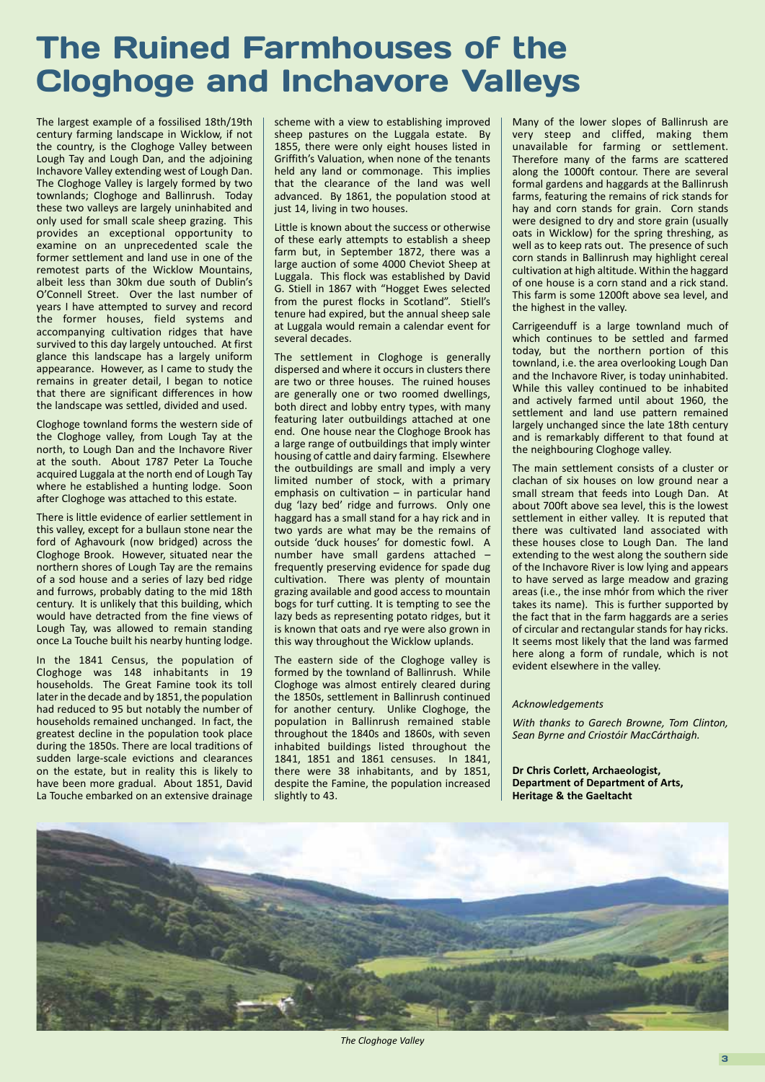### The Ruined Farmhouses of the Cloghoge and Inchavore Valleys

The largest example of a fossilised 18th/19th century farming landscape in Wicklow, if not the country, is the Cloghoge Valley between Lough Tay and Lough Dan, and the adjoining Inchavore Valley extending west of Lough Dan. The Cloghoge Valley is largely formed by two townlands; Cloghoge and Ballinrush. Today these two valleys are largely uninhabited and only used for small scale sheep grazing. This provides an exceptional opportunity to examine on an unprecedented scale the former settlement and land use in one of the remotest parts of the Wicklow Mountains, albeit less than 30km due south of Dublin's O'Connell Street. Over the last number of years I have attempted to survey and record the former houses, field systems and accompanying cultivation ridges that have survived to this day largely untouched. At first glance this landscape has a largely uniform appearance. However, as I came to study the remains in greater detail, I began to notice that there are significant differences in how the landscape was settled, divided and used.

Cloghoge townland forms the western side of the Cloghoge valley, from Lough Tay at the north, to Lough Dan and the Inchavore River at the south. About 1787 Peter La Touche acquired Luggala at the north end of Lough Tay where he established a hunting lodge. Soon after Cloghoge was attached to this estate.

There is little evidence of earlier settlement in this valley, except for a bullaun stone near the ford of Aghavourk (now bridged) across the Cloghoge Brook. However, situated near the northern shores of Lough Tay are the remains of a sod house and a series of lazy bed ridge and furrows, probably dating to the mid 18th century. It is unlikely that this building, which would have detracted from the fine views of Lough Tay, was allowed to remain standing once La Touche built his nearby hunting lodge.

In the 1841 Census, the population of Cloghoge was 148 inhabitants in 19 households. The Great Famine took its toll later in the decade and by 1851, the population had reduced to 95 but notably the number of households remained unchanged. In fact, the greatest decline in the population took place during the 1850s. There are local traditions of sudden large-scale evictions and clearances on the estate, but in reality this is likely to have been more gradual. About 1851, David La Touche embarked on an extensive drainage scheme with a view to establishing improved sheep pastures on the Luggala estate. By 1855, there were only eight houses listed in Griffith's Valuation, when none of the tenants held any land or commonage. This implies that the clearance of the land was well advanced. By 1861, the population stood at just 14, living in two houses.

Little is known about the success or otherwise of these early attempts to establish a sheep farm but, in September 1872, there was a large auction of some 4000 Cheviot Sheep at Luggala. This flock was established by David G. Stiell in 1867 with "Hogget Ewes selected from the purest flocks in Scotland". Stiell's tenure had expired, but the annual sheep sale at Luggala would remain a calendar event for several decades.

The settlement in Cloghoge is generally dispersed and where it occurs in clusters there are two or three houses. The ruined houses are generally one or two roomed dwellings, both direct and lobby entry types, with many featuring later outbuildings attached at one end. One house near the Cloghoge Brook has a large range of outbuildings that imply winter housing of cattle and dairy farming. Elsewhere the outbuildings are small and imply a very limited number of stock, with a primary emphasis on cultivation – in particular hand dug 'lazy bed' ridge and furrows. Only one haggard has a small stand for a hay rick and in two yards are what may be the remains of outside 'duck houses' for domestic fowl. A number have small gardens attached – frequently preserving evidence for spade dug cultivation. There was plenty of mountain grazing available and good access to mountain bogs for turf cutting. It is tempting to see the lazy beds as representing potato ridges, but it is known that oats and rye were also grown in this way throughout the Wicklow uplands.

The eastern side of the Cloghoge valley is formed by the townland of Ballinrush. While Cloghoge was almost entirely cleared during the 1850s, settlement in Ballinrush continued for another century. Unlike Cloghoge, the population in Ballinrush remained stable throughout the 1840s and 1860s, with seven inhabited buildings listed throughout the 1841, 1851 and 1861 censuses. In 1841, there were 38 inhabitants, and by 1851, despite the Famine, the population increased slightly to 43.

Many of the lower slopes of Ballinrush are very steep and cliffed, making them unavailable for farming or settlement. Therefore many of the farms are scattered along the 1000ft contour. There are several formal gardens and haggards at the Ballinrush farms, featuring the remains of rick stands for hay and corn stands for grain. Corn stands were designed to dry and store grain (usually oats in Wicklow) for the spring threshing, as well as to keep rats out. The presence of such corn stands in Ballinrush may highlight cereal cultivation at high altitude. Within the haggard of one house is a corn stand and a rick stand. This farm is some 1200ft above sea level, and the highest in the valley.

Carrigeenduff is a large townland much of which continues to be settled and farmed today, but the northern portion of this townland, i.e. the area overlooking Lough Dan and the Inchavore River, is today uninhabited. While this valley continued to be inhabited and actively farmed until about 1960, the settlement and land use pattern remained largely unchanged since the late 18th century and is remarkably different to that found at the neighbouring Cloghoge valley.

The main settlement consists of a cluster or clachan of six houses on low ground near a small stream that feeds into Lough Dan. At about 700ft above sea level, this is the lowest settlement in either valley. It is reputed that there was cultivated land associated with these houses close to Lough Dan. The land extending to the west along the southern side of the Inchavore River is low lying and appears to have served as large meadow and grazing areas (i.e., the inse mhór from which the river takes its name). This is further supported by the fact that in the farm haggards are a series of circular and rectangular stands for hay ricks. It seems most likely that the land was farmed here along a form of rundale, which is not evident elsewhere in the valley.

#### *Acknowledgements*

*With thanks to Garech Browne, Tom Clinton, Sean Byrne and Criostóir MacCárthaigh.*

**Dr Chris Corlett, Archaeologist, Department of Department of Arts, Heritage & the Gaeltacht**



*The Cloghoge Valley*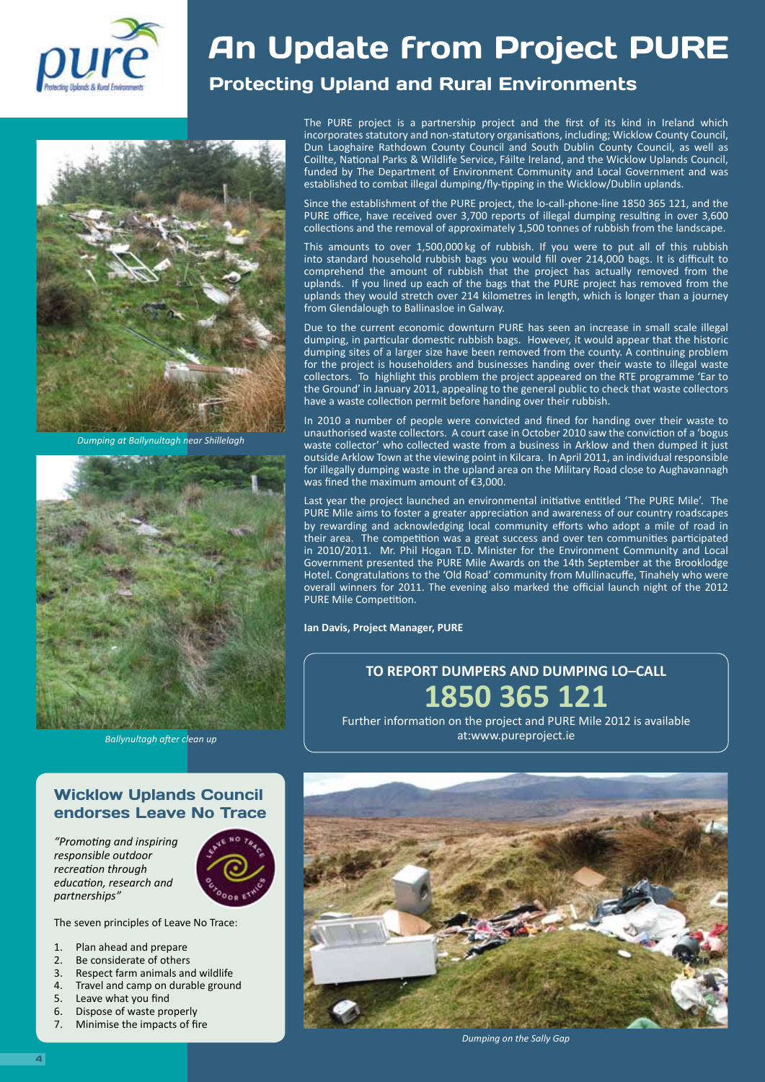

# An Update from Project PURE

### Protecting Upland and Rural Environments



*Dumping at Ballynultagh near Shillelagh*



*Ballynultagh after clean up*

### comprehend the amount of rubbish that the project has actually removed from the uplands. If you lined up each of the bags that the PURE project has removed from the uplands they would stretch over 214 kilometres in length, which is longer than a journey from Glendalough to Ballinasloe in Galway.

Due to the current economic downturn PURE has seen an increase in small scale illegal dumping, in particular domestic rubbish bags. However, it would appear that the historic dumping sites of a larger size have been removed from the county. A continuing problem for the project is householders and businesses handing over their waste to illegal waste collectors. To highlight this problem the project appeared on the RTE programme 'Ear to the Ground' in January 2011, appealing to the general public to check that waste collectors have a waste collection permit before handing over their rubbish.

The PURE project is a partnership project and the first of its kind in Ireland which incorporates statutory and non-statutory organisations, including; Wicklow County Council, Dun Laoghaire Rathdown County Council and South Dublin County Council, as well as Coillte, National Parks & Wildlife Service, Fáilte Ireland, and the Wicklow Uplands Council, funded by The Department of Environment Community and Local Government and was

Since the establishment of the PURE project, the lo-call-phone-line 1850 365 121, and the PURE office, have received over 3,700 reports of illegal dumping resulting in over 3,600 collections and the removal of approximately 1,500 tonnes of rubbish from the landscape. This amounts to over  $1,500,000$  kg of rubbish. If you were to put all of this rubbish into standard household rubbish bags you would fill over 214,000 bags. It is difficult to

established to combat illegal dumping/fly-tipping in the Wicklow/Dublin uplands.

In 2010 a number of people were convicted and fined for handing over their waste to unauthorised waste collectors. A court case in October 2010 saw the conviction of a 'bogus waste collector' who collected waste from a business in Arklow and then dumped it just outside Arklow Town at the viewing point in Kilcara. In April 2011, an individual responsible for illegally dumping waste in the upland area on the Military Road close to Aughavannagh was fined the maximum amount of €3,000.

Last year the project launched an environmental initiative entitled 'The PURE Mile'. The PURE Mile aims to foster a greater appreciation and awareness of our country roadscapes by rewarding and acknowledging local community efforts who adopt a mile of road in their area. The competition was a great success and over ten communities participated in 2010/2011. Mr. Phil Hogan T.D. Minister for the Environment Community and Local Government presented the PURE Mile Awards on the 14th September at the Brooklodge Hotel. Congratulations to the 'Old Road' community from Mullinacuffe, Tinahely who were overall winners for 2011. The evening also marked the official launch night of the 2012 PURE Mile Competition.

**Ian Davis, Project Manager, PURE**

### **TO REPORT DUMPERS AND DUMPING LO–CALL 1850 365 121**

Further information on the project and PURE Mile 2012 is available at:www.pureproject.ie

### Wicklow Uplands Council endorses Leave No Trace

*"Promoting and inspiring responsible outdoor recreation through education, research and partnerships"*



The seven principles of Leave No Trace:

- 1. Plan ahead and prepare
- 2. Be considerate of others
- 3. Respect farm animals and wildlife
- 4. Travel and camp on durable ground
- 5. Leave what you find
- 6. Dispose of waste properly
- 7. Minimise the impacts of fire



*Dumping on the Sally Gap*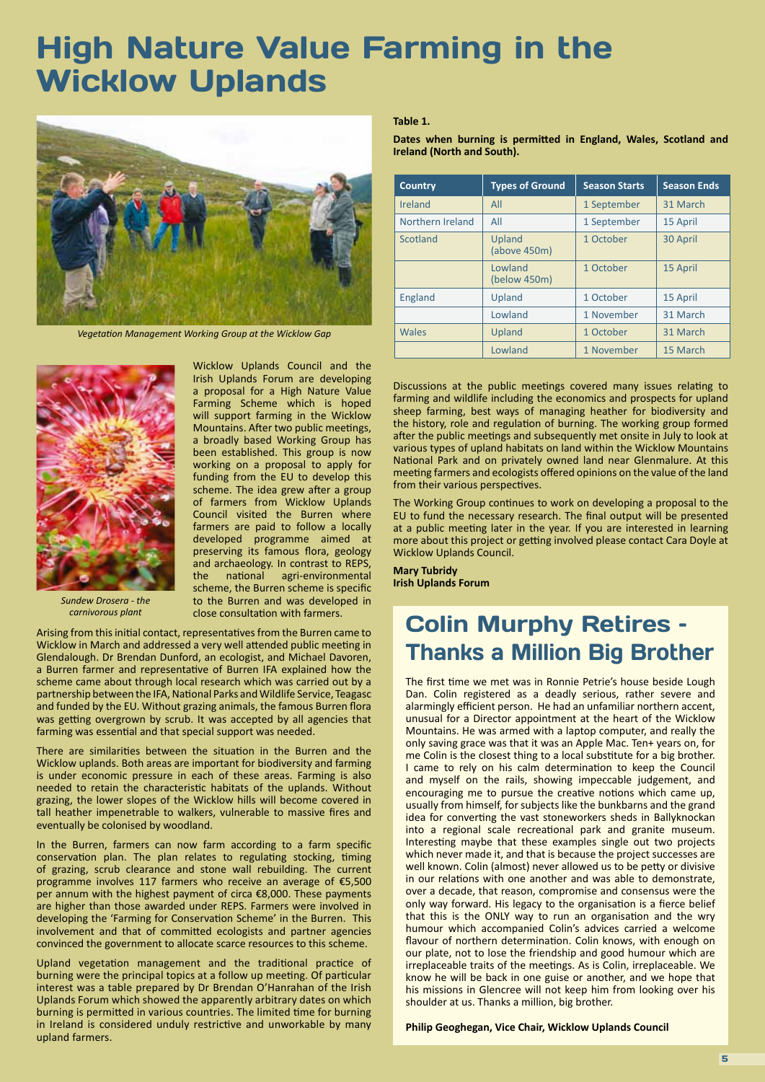### High Nature Value Farming in the Wicklow Uplands



*Vegetation Management Working Group at the Wicklow Gap*



Irish Uplands Forum are developing a proposal for a High Nature Value Farming Scheme which is hoped will support farming in the Wicklow Mountains. After two public meetings, a broadly based Working Group has been established. This group is now working on a proposal to apply for funding from the EU to develop this scheme. The idea grew after a group of farmers from Wicklow Uplands Council visited the Burren where farmers are paid to follow a locally developed programme aimed at preserving its famous flora, geology and archaeology. In contrast to REPS, the national agri-environmental scheme, the Burren scheme is specific to the Burren and was developed in close consultation with farmers.

Wicklow Uplands Council and the

*Sundew Drosera - the carnivorous plant*

Arising from this initial contact, representatives from the Burren came to Wicklow in March and addressed a very well attended public meeting in Glendalough. Dr Brendan Dunford, an ecologist, and Michael Davoren, a Burren farmer and representative of Burren IFA explained how the scheme came about through local research which was carried out by a partnership between the IFA, National Parks and Wildlife Service, Teagasc and funded by the EU. Without grazing animals, the famous Burren flora was getting overgrown by scrub. It was accepted by all agencies that farming was essential and that special support was needed.

There are similarities between the situation in the Burren and the Wicklow uplands. Both areas are important for biodiversity and farming is under economic pressure in each of these areas. Farming is also needed to retain the characteristic habitats of the uplands. Without grazing, the lower slopes of the Wicklow hills will become covered in tall heather impenetrable to walkers, vulnerable to massive fires and eventually be colonised by woodland.

In the Burren, farmers can now farm according to a farm specific conservation plan. The plan relates to regulating stocking, timing of grazing, scrub clearance and stone wall rebuilding. The current programme involves 117 farmers who receive an average of €5,500 per annum with the highest payment of circa €8,000. These payments are higher than those awarded under REPS. Farmers were involved in developing the 'Farming for Conservation Scheme' in the Burren. This involvement and that of committed ecologists and partner agencies convinced the government to allocate scarce resources to this scheme.

Upland vegetation management and the traditional practice of burning were the principal topics at a follow up meeting. Of particular interest was a table prepared by Dr Brendan O'Hanrahan of the Irish Uplands Forum which showed the apparently arbitrary dates on which burning is permitted in various countries. The limited time for burning in Ireland is considered unduly restrictive and unworkable by many upland farmers.

**Table 1.**

**Dates when burning is permitted in England, Wales, Scotland and Ireland (North and South).**

| <b>Country</b>   | <b>Types of Ground</b>  | <b>Season Starts</b> | <b>Season Ends</b> |
|------------------|-------------------------|----------------------|--------------------|
| Ireland          | All                     | 1 September          | 31 March           |
| Northern Ireland | All                     | 1 September          | 15 April           |
| Scotland         | Upland<br>(above 450m)  | 1 October            | 30 April           |
|                  | Lowland<br>(below 450m) | 1 October            | 15 April           |
| England          | Upland                  | 1 October            | 15 April           |
|                  | Lowland                 | 1 November           | 31 March           |
| Wales            | Upland                  | 1 October            | 31 March           |
|                  | Lowland                 | 1 November           | 15 March           |

Discussions at the public meetings covered many issues relating to farming and wildlife including the economics and prospects for upland sheep farming, best ways of managing heather for biodiversity and the history, role and regulation of burning. The working group formed after the public meetings and subsequently met onsite in July to look at various types of upland habitats on land within the Wicklow Mountains National Park and on privately owned land near Glenmalure. At this meeting farmers and ecologists offered opinions on the value of the land from their various perspectives.

The Working Group continues to work on developing a proposal to the EU to fund the necessary research. The final output will be presented at a public meeting later in the year. If you are interested in learning more about this project or getting involved please contact Cara Doyle at Wicklow Uplands Council.

**Mary Tubridy Irish Uplands Forum**

### Colin Murphy Retires – Thanks a Million Big Brother

The first time we met was in Ronnie Petrie's house beside Lough Dan. Colin registered as a deadly serious, rather severe and alarmingly efficient person. He had an unfamiliar northern accent, unusual for a Director appointment at the heart of the Wicklow Mountains. He was armed with a laptop computer, and really the only saving grace was that it was an Apple Mac. Ten+ years on, for me Colin is the closest thing to a local substitute for a big brother. I came to rely on his calm determination to keep the Council and myself on the rails, showing impeccable judgement, and encouraging me to pursue the creative notions which came up, usually from himself, for subjects like the bunkbarns and the grand idea for converting the vast stoneworkers sheds in Ballyknockan into a regional scale recreational park and granite museum. Interesting maybe that these examples single out two projects which never made it, and that is because the project successes are well known. Colin (almost) never allowed us to be petty or divisive in our relations with one another and was able to demonstrate, over a decade, that reason, compromise and consensus were the only way forward. His legacy to the organisation is a fierce belief that this is the ONLY way to run an organisation and the wry humour which accompanied Colin's advices carried a welcome flavour of northern determination. Colin knows, with enough on our plate, not to lose the friendship and good humour which are irreplaceable traits of the meetings. As is Colin, irreplaceable. We know he will be back in one guise or another, and we hope that his missions in Glencree will not keep him from looking over his shoulder at us. Thanks a million, big brother.

**Philip Geoghegan, Vice Chair, Wicklow Uplands Council**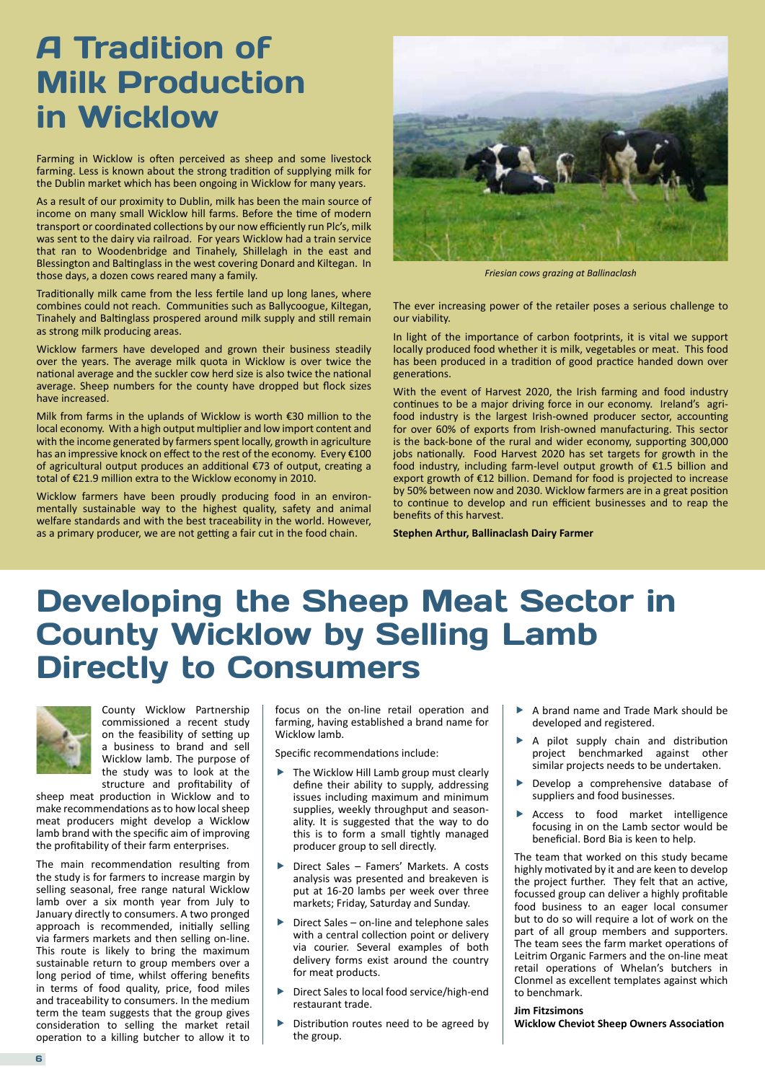# A Tradition of Milk Production in Wicklow

Farming in Wicklow is often perceived as sheep and some livestock farming. Less is known about the strong tradition of supplying milk for the Dublin market which has been ongoing in Wicklow for many years.

As a result of our proximity to Dublin, milk has been the main source of income on many small Wicklow hill farms. Before the time of modern transport or coordinated collections by our now efficiently run Plc's, milk was sent to the dairy via railroad. For years Wicklow had a train service that ran to Woodenbridge and Tinahely, Shillelagh in the east and Blessington and Baltinglass in the west covering Donard and Kiltegan. In those days, a dozen cows reared many a family.

Traditionally milk came from the less fertile land up long lanes, where combines could not reach. Communities such as Ballycoogue, Kiltegan, Tinahely and Baltinglass prospered around milk supply and still remain as strong milk producing areas.

Wicklow farmers have developed and grown their business steadily over the years. The average milk quota in Wicklow is over twice the national average and the suckler cow herd size is also twice the national average. Sheep numbers for the county have dropped but flock sizes have increased.

Milk from farms in the uplands of Wicklow is worth €30 million to the local economy. With a high output multiplier and low import content and with the income generated by farmers spent locally, growth in agriculture has an impressive knock on effect to the rest of the economy. Every €100 of agricultural output produces an additional €73 of output, creating a total of €21.9 million extra to the Wicklow economy in 2010.

Wicklow farmers have been proudly producing food in an environmentally sustainable way to the highest quality, safety and animal welfare standards and with the best traceability in the world. However, as a primary producer, we are not getting a fair cut in the food chain.



*Friesian cows grazing at Ballinaclash*

The ever increasing power of the retailer poses a serious challenge to our viability.

In light of the importance of carbon footprints, it is vital we support locally produced food whether it is milk, vegetables or meat. This food has been produced in a tradition of good practice handed down over generations.

With the event of Harvest 2020, the Irish farming and food industry continues to be a major driving force in our economy. Ireland's agrifood industry is the largest Irish-owned producer sector, accounting for over 60% of exports from Irish-owned manufacturing. This sector is the back-bone of the rural and wider economy, supporting 300,000 jobs nationally. Food Harvest 2020 has set targets for growth in the food industry, including farm-level output growth of €1.5 billion and export growth of €12 billion. Demand for food is projected to increase by 50% between now and 2030. Wicklow farmers are in a great position to continue to develop and run efficient businesses and to reap the benefits of this harvest.

**Stephen Arthur, Ballinaclash Dairy Farmer**

### Developing the Sheep Meat Sector in County Wicklow by Selling Lamb Directly to Consumers



County Wicklow Partnership commissioned a recent study on the feasibility of setting up a business to brand and sell Wicklow lamb. The purpose of the study was to look at the structure and profitability of

sheep meat production in Wicklow and to make recommendations as to how local sheep meat producers might develop a Wicklow lamb brand with the specific aim of improving the profitability of their farm enterprises.

The main recommendation resulting from the study is for farmers to increase margin by selling seasonal, free range natural Wicklow lamb over a six month year from July to January directly to consumers. A two pronged approach is recommended, initially selling via farmers markets and then selling on-line. This route is likely to bring the maximum sustainable return to group members over a long period of time, whilst offering benefits in terms of food quality, price, food miles and traceability to consumers. In the medium term the team suggests that the group gives consideration to selling the market retail operation to a killing butcher to allow it to focus on the on-line retail operation and farming, having established a brand name for Wicklow lamb.

Specific recommendations include:

- ▶ The Wicklow Hill Lamb group must clearly define their ability to supply, addressing issues including maximum and minimum supplies, weekly throughput and seasonality. It is suggested that the way to do this is to form a small tightly managed producer group to sell directly.
- ▶ Direct Sales Famers' Markets. A costs analysis was presented and breakeven is put at 16-20 lambs per week over three markets; Friday, Saturday and Sunday.
- Direct Sales on-line and telephone sales with a central collection point or delivery via courier. Several examples of both delivery forms exist around the country for meat products.
- Direct Sales to local food service/high-end restaurant trade.
- Distribution routes need to be agreed by the group.
- A brand name and Trade Mark should be developed and registered.
- A pilot supply chain and distribution project benchmarked against other similar projects needs to be undertaken.
- Develop a comprehensive database of suppliers and food businesses.
- Access to food market intelligence focusing in on the Lamb sector would be beneficial. Bord Bia is keen to help.

The team that worked on this study became highly motivated by it and are keen to develop the project further. They felt that an active, focussed group can deliver a highly profitable food business to an eager local consumer but to do so will require a lot of work on the part of all group members and supporters. The team sees the farm market operations of Leitrim Organic Farmers and the on-line meat retail operations of Whelan's butchers in Clonmel as excellent templates against which to benchmark.

#### **Jim Fitzsimons**

**Wicklow Cheviot Sheep Owners Association**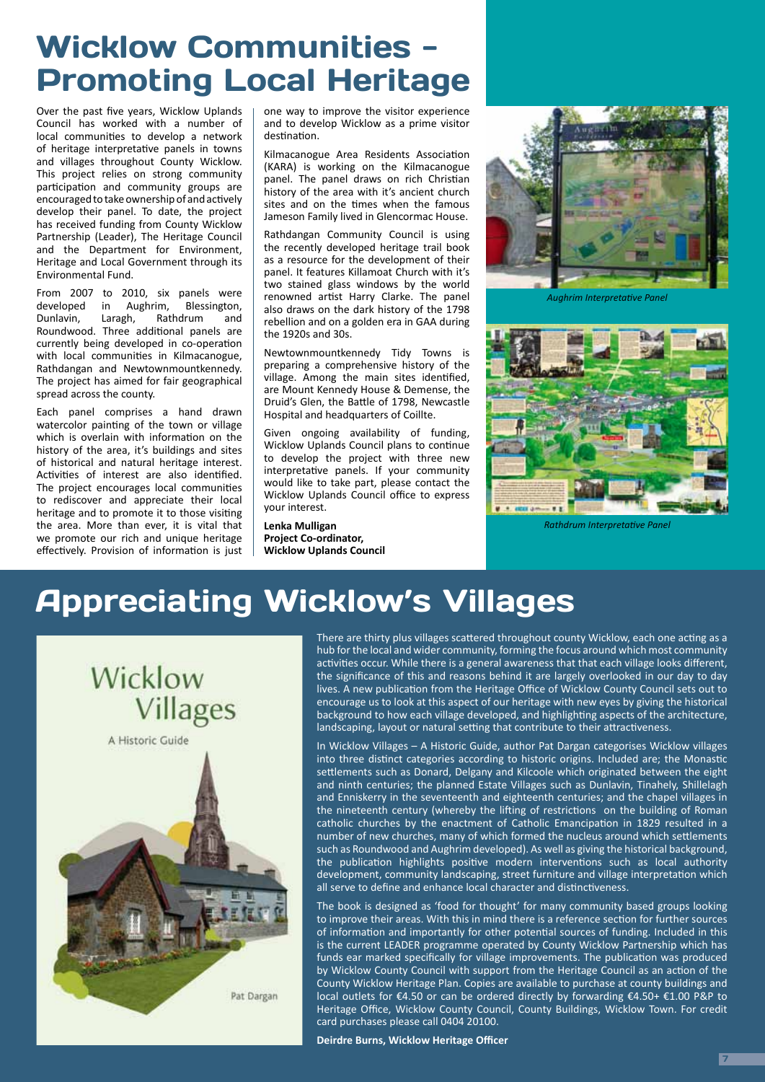# Wicklow Communities - Promoting Local Heritage

Over the past five years, Wicklow Uplands Council has worked with a number of local communities to develop a network of heritage interpretative panels in towns and villages throughout County Wicklow. This project relies on strong community participation and community groups are encouraged to take ownership of and actively develop their panel. To date, the project has received funding from County Wicklow Partnership (Leader), The Heritage Council and the Department for Environment, Heritage and Local Government through its Environmental Fund.

From 2007 to 2010, six panels were developed in Aughrim, Blessington,<br>Dunlavin, Laragh, Rathdrum and Rathdrum Roundwood. Three additional panels are currently being developed in co-operation with local communities in Kilmacanogue, Rathdangan and Newtownmountkennedy. The project has aimed for fair geographical spread across the county.

Each panel comprises a hand drawn watercolor painting of the town or village which is overlain with information on the history of the area, it's buildings and sites of historical and natural heritage interest. Activities of interest are also identified. The project encourages local communities to rediscover and appreciate their local heritage and to promote it to those visiting the area. More than ever, it is vital that we promote our rich and unique heritage effectively. Provision of information is just one way to improve the visitor experience and to develop Wicklow as a prime visitor destination.

Kilmacanogue Area Residents Association (KARA) is working on the Kilmacanogue panel. The panel draws on rich Christian history of the area with it's ancient church sites and on the times when the famous Jameson Family lived in Glencormac House.

Rathdangan Community Council is using the recently developed heritage trail book as a resource for the development of their panel. It features Killamoat Church with it's two stained glass windows by the world renowned artist Harry Clarke. The panel also draws on the dark history of the 1798 rebellion and on a golden era in GAA during the 1920s and 30s.

Newtownmountkennedy Tidy Towns is preparing a comprehensive history of the village. Among the main sites identified, are Mount Kennedy House & Demense, the Druid's Glen, the Battle of 1798, Newcastle Hospital and headquarters of Coillte.

Given ongoing availability of funding, Wicklow Uplands Council plans to continue to develop the project with three new interpretative panels. If your community would like to take part, please contact the Wicklow Uplands Council office to express your interest.

**Lenka Mulligan Project Co-ordinator, Wicklow Uplands Council**



*Aughrim Interpretative Panel*



*Rathdrum Interpretative Panel*

# Appreciating Wicklow's Villages



There are thirty plus villages scattered throughout county Wicklow, each one acting as a hub for the local and wider community, forming the focus around which most community activities occur. While there is a general awareness that that each village looks different, the significance of this and reasons behind it are largely overlooked in our day to day lives. A new publication from the Heritage Office of Wicklow County Council sets out to encourage us to look at this aspect of our heritage with new eyes by giving the historical background to how each village developed, and highlighting aspects of the architecture, landscaping, layout or natural setting that contribute to their attractiveness.

In Wicklow Villages – A Historic Guide, author Pat Dargan categorises Wicklow villages into three distinct categories according to historic origins. Included are; the Monastic settlements such as Donard, Delgany and Kilcoole which originated between the eight and ninth centuries; the planned Estate Villages such as Dunlavin, Tinahely, Shillelagh and Enniskerry in the seventeenth and eighteenth centuries; and the chapel villages in the nineteenth century (whereby the lifting of restrictions on the building of Roman catholic churches by the enactment of Catholic Emancipation in 1829 resulted in a number of new churches, many of which formed the nucleus around which settlements such as Roundwood and Aughrim developed). As well as giving the historical background, the publication highlights positive modern interventions such as local authority development, community landscaping, street furniture and village interpretation which all serve to define and enhance local character and distinctiveness.

The book is designed as 'food for thought' for many community based groups looking to improve their areas. With this in mind there is a reference section for further sources of information and importantly for other potential sources of funding. Included in this is the current LEADER programme operated by County Wicklow Partnership which has funds ear marked specifically for village improvements. The publication was produced by Wicklow County Council with support from the Heritage Council as an action of the County Wicklow Heritage Plan. Copies are available to purchase at county buildings and local outlets for €4.50 or can be ordered directly by forwarding €4.50+ €1.00 P&P to Heritage Office, Wicklow County Council, County Buildings, Wicklow Town. For credit card purchases please call 0404 20100.

**Deirdre Burns, Wicklow Heritage Officer**